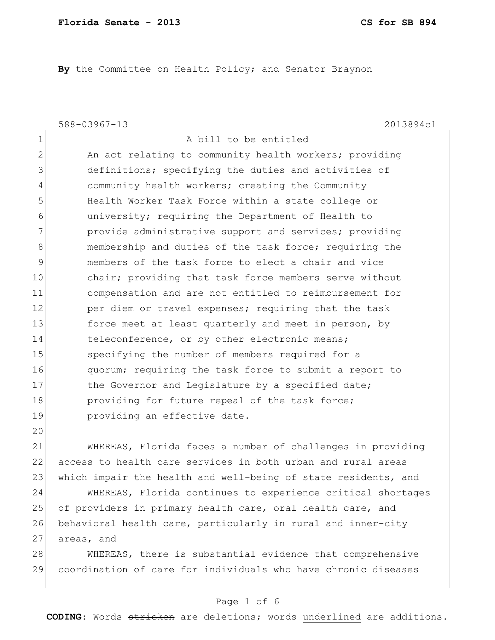**By** the Committee on Health Policy; and Senator Braynon

|              | $588 - 03967 - 13$<br>2013894c1                        |
|--------------|--------------------------------------------------------|
| $\mathbf{1}$ | A bill to be entitled                                  |
| 2            | An act relating to community health workers; providing |
| 3            | definitions; specifying the duties and activities of   |
| 4            | community health workers; creating the Community       |
| 5            | Health Worker Task Force within a state college or     |
| 6            | university; requiring the Department of Health to      |
| 7            | provide administrative support and services; providing |
| 8            | membership and duties of the task force; requiring the |
| 9            | members of the task force to elect a chair and vice    |
| 10           | chair; providing that task force members serve without |
| 11           | compensation and are not entitled to reimbursement for |
| 12           | per diem or travel expenses; requiring that the task   |
| 13           | force meet at least quarterly and meet in person, by   |
| 14           | teleconference, or by other electronic means;          |
| 15           | specifying the number of members required for a        |
| 16           | quorum; requiring the task force to submit a report to |
| 17           | the Governor and Legislature by a specified date;      |
| 18           | providing for future repeal of the task force;         |
| 19           | providing an effective date.                           |
| 20           |                                                        |

21 WHEREAS, Florida faces a number of challenges in providing 22 access to health care services in both urban and rural areas 23 which impair the health and well-being of state residents, and

24 WHEREAS, Florida continues to experience critical shortages 25 of providers in primary health care, oral health care, and 26 behavioral health care, particularly in rural and inner-city 27 areas, and

28 WHEREAS, there is substantial evidence that comprehensive 29 coordination of care for individuals who have chronic diseases

### Page 1 of 6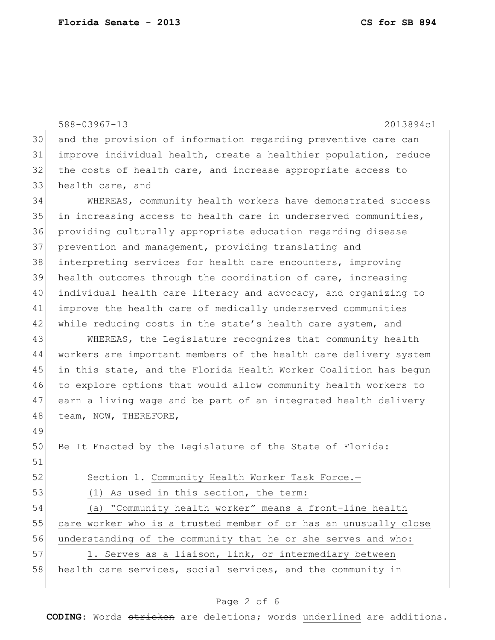|    | 588-03967-13<br>2013894c1                                        |
|----|------------------------------------------------------------------|
| 30 | and the provision of information regarding preventive care can   |
| 31 | improve individual health, create a healthier population, reduce |
| 32 | the costs of health care, and increase appropriate access to     |
| 33 | health care, and                                                 |
| 34 | WHEREAS, community health workers have demonstrated success      |
| 35 | in increasing access to health care in underserved communities,  |
| 36 | providing culturally appropriate education regarding disease     |
| 37 | prevention and management, providing translating and             |
| 38 | interpreting services for health care encounters, improving      |
| 39 | health outcomes through the coordination of care, increasing     |
| 40 | individual health care literacy and advocacy, and organizing to  |
| 41 | improve the health care of medically underserved communities     |
| 42 | while reducing costs in the state's health care system, and      |
| 43 | WHEREAS, the Legislature recognizes that community health        |
| 44 | workers are important members of the health care delivery system |
| 45 | in this state, and the Florida Health Worker Coalition has begun |
| 46 | to explore options that would allow community health workers to  |
| 47 | earn a living wage and be part of an integrated health delivery  |
| 48 | team, NOW, THEREFORE,                                            |
| 49 |                                                                  |
| 50 | Be It Enacted by the Legislature of the State of Florida:        |
| 51 |                                                                  |
| 52 | Section 1. Community Health Worker Task Force.-                  |
| 53 | (1) As used in this section, the term:                           |
| 54 | (a) "Community health worker" means a front-line health          |
| 55 | care worker who is a trusted member of or has an unusually close |
| 56 | understanding of the community that he or she serves and who:    |
| 57 | 1. Serves as a liaison, link, or intermediary between            |
| 58 | health care services, social services, and the community in      |
|    |                                                                  |

# Page 2 of 6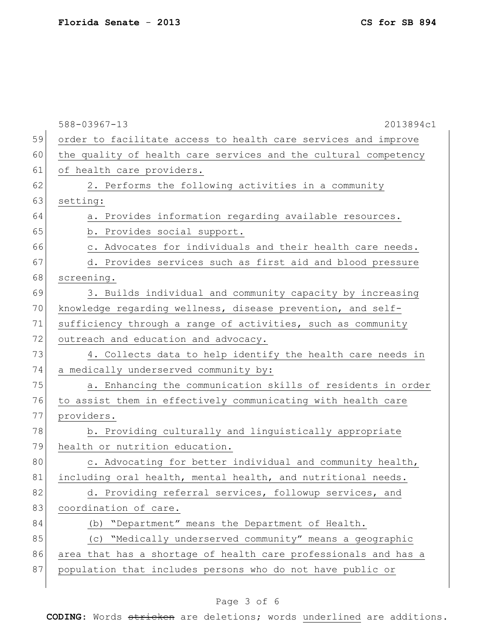588-03967-13 2013894c1 59 order to facilitate access to health care services and improve 60 the quality of health care services and the cultural competency 61 of health care providers.  $62$  2. Performs the following activities in a community 63 setting: 64 a. Provides information regarding available resources. 65 b. Provides social support. 66 c. Advocates for individuals and their health care needs. 67 d. Provides services such as first aid and blood pressure 68 screening. 69 3. Builds individual and community capacity by increasing 70 knowledge regarding wellness, disease prevention, and self-71 sufficiency through a range of activities, such as community 72 outreach and education and advocacy. 73 4. Collects data to help identify the health care needs in 74 a medically underserved community by: 75 a. Enhancing the communication skills of residents in order 76 to assist them in effectively communicating with health care 77 providers. 78 b. Providing culturally and linguistically appropriate 79 health or nutrition education. 80 c. Advocating for better individual and community health, 81 including oral health, mental health, and nutritional needs. 82 d. Providing referral services, followup services, and 83 coordination of care. 84 (b) "Department" means the Department of Health. 85 (c) "Medically underserved community" means a geographic 86 area that has a shortage of health care professionals and has a 87 population that includes persons who do not have public or

### Page 3 of 6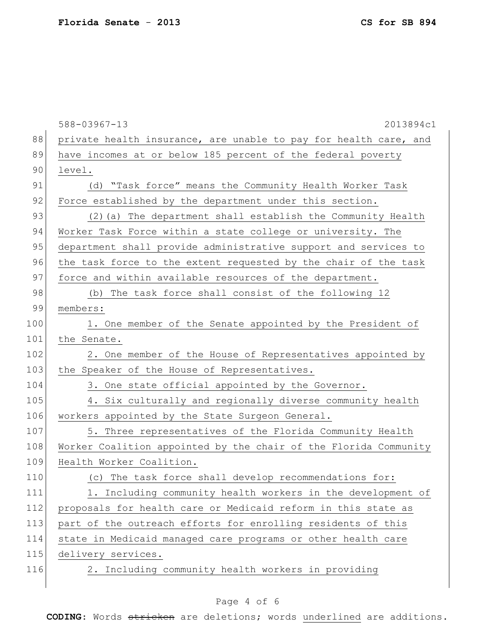|     | 588-03967-13<br>2013894c1                                        |
|-----|------------------------------------------------------------------|
| 88  | private health insurance, are unable to pay for health care, and |
| 89  | have incomes at or below 185 percent of the federal poverty      |
| 90  | level.                                                           |
| 91  | (d) "Task force" means the Community Health Worker Task          |
| 92  | Force established by the department under this section.          |
| 93  | (2) (a) The department shall establish the Community Health      |
| 94  | Worker Task Force within a state college or university. The      |
| 95  | department shall provide administrative support and services to  |
| 96  | the task force to the extent requested by the chair of the task  |
| 97  | force and within available resources of the department.          |
| 98  | (b) The task force shall consist of the following 12             |
| 99  | members:                                                         |
| 100 | 1. One member of the Senate appointed by the President of        |
| 101 | the Senate.                                                      |
| 102 | 2. One member of the House of Representatives appointed by       |
| 103 | the Speaker of the House of Representatives.                     |
| 104 | 3. One state official appointed by the Governor.                 |
| 105 | 4. Six culturally and regionally diverse community health        |
| 106 | workers appointed by the State Surgeon General.                  |
| 107 | 5. Three representatives of the Florida Community Health         |
| 108 | Worker Coalition appointed by the chair of the Florida Community |
| 109 | Health Worker Coalition.                                         |
| 110 | (c) The task force shall develop recommendations for:            |
| 111 | 1. Including community health workers in the development of      |
| 112 | proposals for health care or Medicaid reform in this state as    |
| 113 | part of the outreach efforts for enrolling residents of this     |
| 114 | state in Medicaid managed care programs or other health care     |
| 115 | delivery services.                                               |
| 116 | 2. Including community health workers in providing               |

# Page 4 of 6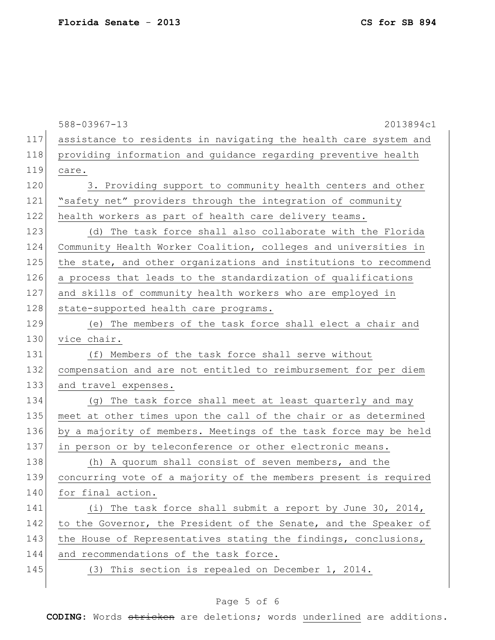588-03967-13 2013894c1 117 assistance to residents in navigating the health care system and 118 providing information and guidance regarding preventive health 119 care. 120 3. Providing support to community health centers and other 121 "safety net" providers through the integration of community 122 health workers as part of health care delivery teams. 123 (d) The task force shall also collaborate with the Florida 124 Community Health Worker Coalition, colleges and universities in 125 the state, and other organizations and institutions to recommend 126 a process that leads to the standardization of qualifications 127 and skills of community health workers who are employed in 128 state-supported health care programs. 129 (e) The members of the task force shall elect a chair and 130 vice chair. 131 (f) Members of the task force shall serve without 132 compensation and are not entitled to reimbursement for per diem 133 and travel expenses. 134 (g) The task force shall meet at least quarterly and may 135 meet at other times upon the call of the chair or as determined 136 by a majority of members. Meetings of the task force may be held 137 in person or by teleconference or other electronic means. 138 (h) A quorum shall consist of seven members, and the 139 concurring vote of a majority of the members present is required 140 for final action. 141 (i) The task force shall submit a report by June 30, 2014, 142 to the Governor, the President of the Senate, and the Speaker of 143 the House of Representatives stating the findings, conclusions, 144 and recommendations of the task force. 145 (3) This section is repealed on December 1, 2014.

#### Page 5 of 6